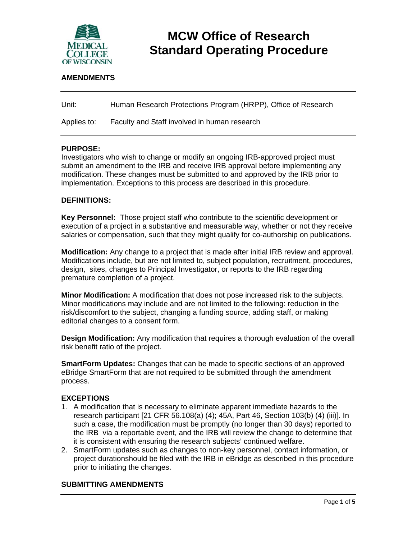

# **MCW Office of Research Standard Operating Procedure**

# **AMENDMENTS**

| Unit: | Human Research Protections Program (HRPP), Office of Research |
|-------|---------------------------------------------------------------|
|       |                                                               |

Applies to: Faculty and Staff involved in human research

#### **PURPOSE:**

Investigators who wish to change or modify an ongoing IRB-approved project must submit an amendment to the IRB and receive IRB approval before implementing any modification. These changes must be submitted to and approved by the IRB prior to implementation. Exceptions to this process are described in this procedure.

#### **DEFINITIONS:**

**Key Personnel:** Those project staff who contribute to the scientific development or execution of a project in a substantive and measurable way, whether or not they receive salaries or compensation, such that they might qualify for co-authorship on publications.

**Modification:** Any change to a project that is made after initial IRB review and approval. Modifications include, but are not limited to, subject population, recruitment, procedures, design, sites, changes to Principal Investigator, or reports to the IRB regarding premature completion of a project.

**Minor Modification:** A modification that does not pose increased risk to the subjects. Minor modifications may include and are not limited to the following: reduction in the risk/discomfort to the subject, changing a funding source, adding staff, or making editorial changes to a consent form.

**Design Modification:** Any modification that requires a thorough evaluation of the overall risk benefit ratio of the project.

**SmartForm Updates:** Changes that can be made to specific sections of an approved eBridge SmartForm that are not required to be submitted through the amendment process.

#### **EXCEPTIONS**

- 1*.* A modification that is necessary to eliminate apparent immediate hazards to the research participant [21 CFR 56.108(a) (4); 45A, Part 46, Section 103(b) (4) (iii)]. In such a case, the modification must be promptly (no longer than 30 days) reported to the IRB via a reportable event, and the IRB will review the change to determine that it is consistent with ensuring the research subjects' continued welfare.
- 2. SmartForm updates such as changes to non-key personnel, contact information, or project durationshould be filed with the IRB in eBridge as described in this procedure prior to initiating the changes.

#### **SUBMITTING AMENDMENTS**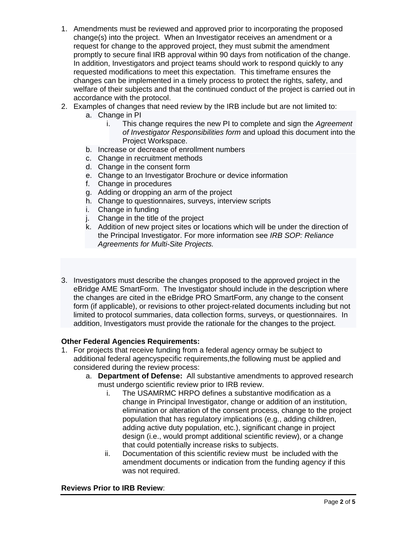- 1. Amendments must be reviewed and approved prior to incorporating the proposed change(s) into the project. When an Investigator receives an amendment or a request for change to the approved project, they must submit the amendment promptly to secure final IRB approval within 90 days from notification of the change. In addition, Investigators and project teams should work to respond quickly to any requested modifications to meet this expectation. This timeframe ensures the changes can be implemented in a timely process to protect the rights, safety, and welfare of their subjects and that the continued conduct of the project is carried out in accordance with the protocol.
- 2. Examples of changes that need review by the IRB include but are not limited to:
	- a. Change in PI
		- i. This change requires the new PI to complete and sign the *Agreement of Investigator Responsibilities form* and upload this document into the Project Workspace.
	- b. Increase or decrease of enrollment numbers
	- c. Change in recruitment methods
	- d. Change in the consent form
	- e. Change to an Investigator Brochure or device information
	- f. Change in procedures
	- g. Adding or dropping an arm of the project
	- h. Change to questionnaires, surveys, interview scripts
	- i. Change in funding
	- j. Change in the title of the project
	- k. Addition of new project sites or locations which will be under the direction of the Principal Investigator. For more information see *IRB SOP: Reliance Agreements for Multi-Site Projects.*
- 3. Investigators must describe the changes proposed to the approved project in the eBridge AME SmartForm. The Investigator should include in the description where the changes are cited in the eBridge PRO SmartForm, any change to the consent form (if applicable), or revisions to other project-related documents including but not limited to protocol summaries, data collection forms, surveys, or questionnaires. In addition, Investigators must provide the rationale for the changes to the project.

# **Other Federal Agencies Requirements:**

- 1. For projects that receive funding from a federal agency ormay be subject to additional federal agencyspecific requirements,the following must be applied and considered during the review process:
	- a. **Department of Defense:** All substantive amendments to approved research must undergo scientific review prior to IRB review.
		- i. The USAMRMC HRPO defines a substantive modification as a change in Principal Investigator, change or addition of an institution, elimination or alteration of the consent process, change to the project population that has regulatory implications (e.g., adding children, adding active duty population, etc.), significant change in project design (i.e., would prompt additional scientific review), or a change that could potentially increase risks to subjects.
		- ii. Documentation of this scientific review must be included with the amendment documents or indication from the funding agency if this was not required.

#### **Reviews Prior to IRB Review**: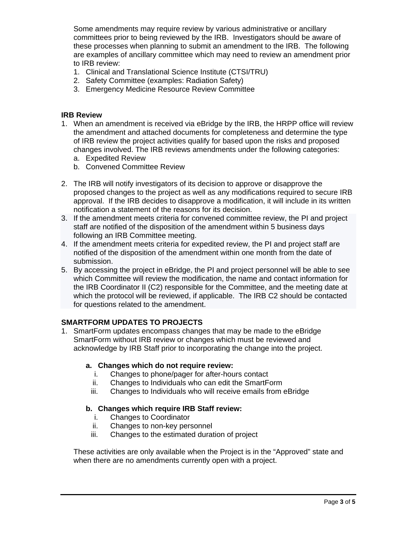Some amendments may require review by various administrative or ancillary committees prior to being reviewed by the IRB. Investigators should be aware of these processes when planning to submit an amendment to the IRB. The following are examples of ancillary committee which may need to review an amendment prior to IRB review:

- 1. Clinical and Translational Science Institute (CTSI/TRU)
- 2. Safety Committee (examples: Radiation Safety)
- 3. Emergency Medicine Resource Review Committee

#### **IRB Review**

- 1. When an amendment is received via eBridge by the IRB, the HRPP office will review the amendment and attached documents for completeness and determine the type of IRB review the project activities qualify for based upon the risks and proposed changes involved. The IRB reviews amendments under the following categories:
	- a. Expedited Review
	- b. Convened Committee Review
- 2. The IRB will notify investigators of its decision to approve or disapprove the proposed changes to the project as well as any modifications required to secure IRB approval. If the IRB decides to disapprove a modification, it will include in its written notification a statement of the reasons for its decision.
- 3. If the amendment meets criteria for convened committee review, the PI and project staff are notified of the disposition of the amendment within 5 business days following an IRB Committee meeting.
- 4. If the amendment meets criteria for expedited review, the PI and project staff are notified of the disposition of the amendment within one month from the date of submission.
- 5. By accessing the project in eBridge, the PI and project personnel will be able to see which Committee will review the modification, the name and contact information for the IRB Coordinator II (C2) responsible for the Committee, and the meeting date at which the protocol will be reviewed, if applicable. The IRB C2 should be contacted for questions related to the amendment.

# **SMARTFORM UPDATES TO PROJECTS**

1. SmartForm updates encompass changes that may be made to the eBridge SmartForm without IRB review or changes which must be reviewed and acknowledge by IRB Staff prior to incorporating the change into the project.

# **a. Changes which do not require review:**

- i. Changes to phone/pager for after-hours contact
- ii. Changes to Individuals who can edit the SmartForm
- iii. Changes to Individuals who will receive emails from eBridge

# **b. Changes which require IRB Staff review:**

- i. Changes to Coordinator
- ii. Changes to non-key personnel
- iii. Changes to the estimated duration of project

These activities are only available when the Project is in the "Approved" state and when there are no amendments currently open with a project.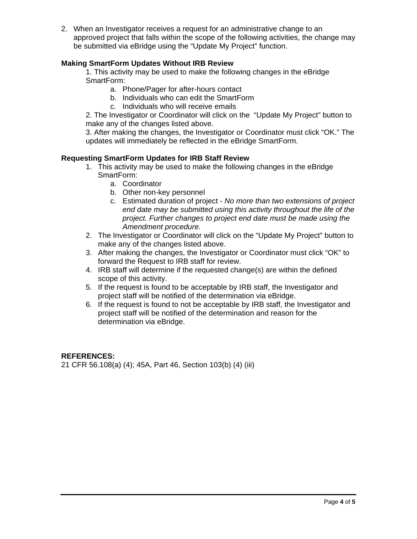2. When an Investigator receives a request for an administrative change to an approved project that falls within the scope of the following activities, the change may be submitted via eBridge using the "Update My Project" function.

# **Making SmartForm Updates Without IRB Review**

1. This activity may be used to make the following changes in the eBridge SmartForm:

- a. Phone/Pager for after-hours contact
- b. Individuals who can edit the SmartForm
- c. Individuals who will receive emails

2. The Investigator or Coordinator will click on the "Update My Project" button to make any of the changes listed above.

3. After making the changes, the Investigator or Coordinator must click "OK." The updates will immediately be reflected in the eBridge SmartForm.

#### **Requesting SmartForm Updates for IRB Staff Review**

- 1. This activity may be used to make the following changes in the eBridge SmartForm:
	- a. Coordinator
	- b. Other non-key personnel
	- c. Estimated duration of project *No more than two extensions of project end date may be submitted using this activity throughout the life of the project. Further changes to project end date must be made using the Amendment procedure.*
- 2. The Investigator or Coordinator will click on the "Update My Project" button to make any of the changes listed above.
- 3. After making the changes, the Investigator or Coordinator must click "OK" to forward the Request to IRB staff for review.
- 4. IRB staff will determine if the requested change(s) are within the defined scope of this activity.
- 5. If the request is found to be acceptable by IRB staff, the Investigator and project staff will be notified of the determination via eBridge.
- 6. If the request is found to not be acceptable by IRB staff, the Investigator and project staff will be notified of the determination and reason for the determination via eBridge.

# **REFERENCES:**

21 CFR 56.108(a) (4); 45A, Part 46, Section 103(b) (4) (iii)